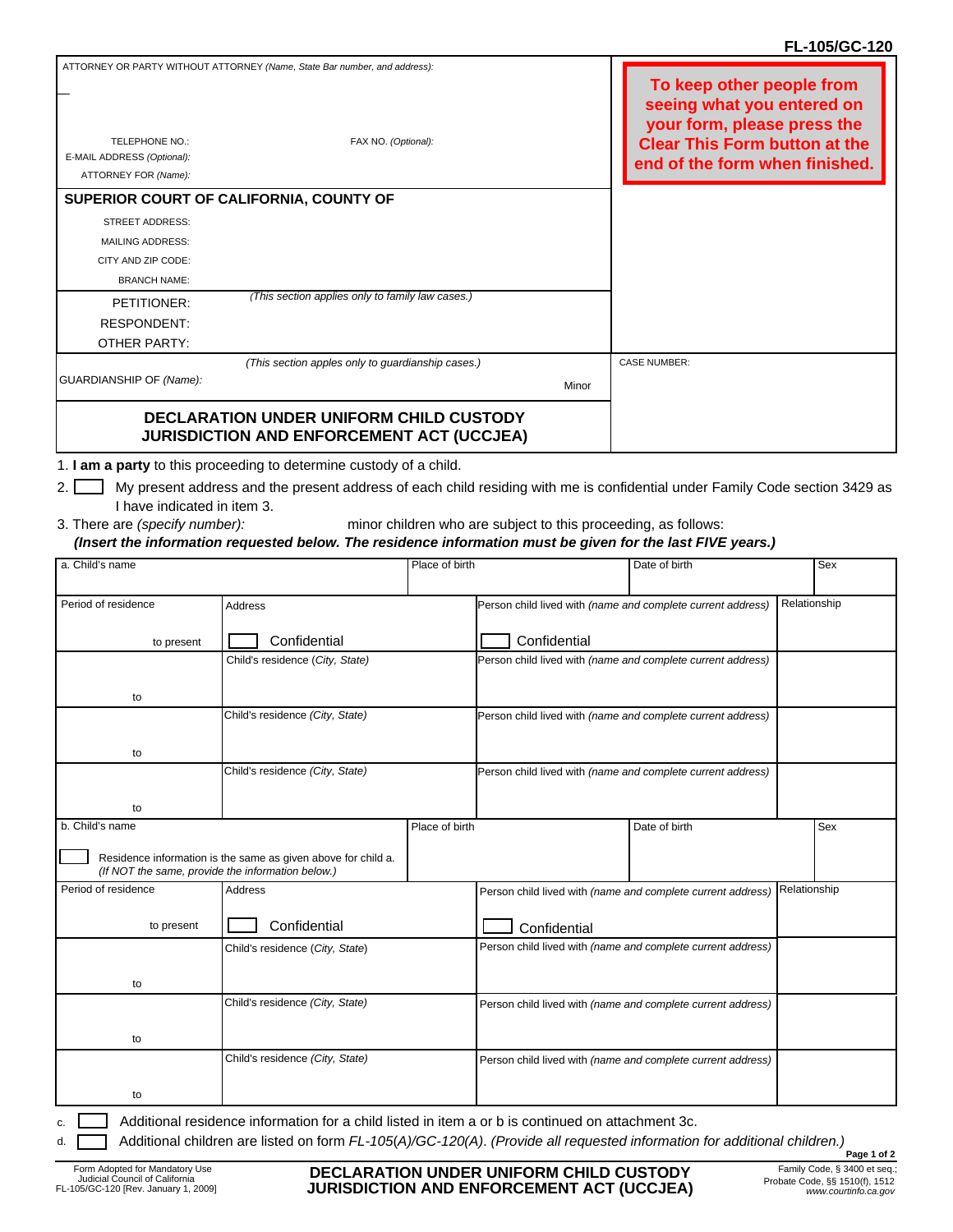## **FL-105/GC-120**

| TELEPHONE NO.:             | ATTORNEY OR PARTY WITHOUT ATTORNEY (Name, State Bar number, and address):<br>FAX NO. (Optional):   |       | To keep other people from<br>seeing what you entered on<br>your form, please press the<br><b>Clear This Form button at the</b> |
|----------------------------|----------------------------------------------------------------------------------------------------|-------|--------------------------------------------------------------------------------------------------------------------------------|
| E-MAIL ADDRESS (Optional): |                                                                                                    |       | end of the form when finished.                                                                                                 |
| ATTORNEY FOR (Name):       |                                                                                                    |       |                                                                                                                                |
|                            | SUPERIOR COURT OF CALIFORNIA, COUNTY OF                                                            |       |                                                                                                                                |
| <b>STREET ADDRESS:</b>     |                                                                                                    |       |                                                                                                                                |
| <b>MAILING ADDRESS:</b>    |                                                                                                    |       |                                                                                                                                |
| CITY AND ZIP CODE:         |                                                                                                    |       |                                                                                                                                |
| <b>BRANCH NAME:</b>        |                                                                                                    |       |                                                                                                                                |
| PETITIONER:                | (This section applies only to family law cases.)                                                   |       |                                                                                                                                |
| <b>RESPONDENT:</b>         |                                                                                                    |       |                                                                                                                                |
| OTHER PARTY:               |                                                                                                    |       |                                                                                                                                |
|                            | (This section apples only to guardianship cases.)                                                  |       | <b>CASE NUMBER:</b>                                                                                                            |
| GUARDIANSHIP OF (Name):    |                                                                                                    | Minor |                                                                                                                                |
|                            | <b>DECLARATION UNDER UNIFORM CHILD CUSTODY</b><br><b>JURISDICTION AND ENFORCEMENT ACT (UCCJEA)</b> |       |                                                                                                                                |

- 1. **I am a party** to this proceeding to determine custody of a child.
- 2. My present address and the present address of each child residing with me is confidential under Family Code section 3429 as I have indicated in item 3.
- 3. There are *(specify number): (Insert the information requested below. The residence information must be given for the last FIVE years.)* minor children who are subject to this proceeding, as follows:

| a. Child's name                                                                                                                |                                                                                                   | Place of birth |                                                             | Date of birth                                               |              | <b>Sex</b> |  |  |  |
|--------------------------------------------------------------------------------------------------------------------------------|---------------------------------------------------------------------------------------------------|----------------|-------------------------------------------------------------|-------------------------------------------------------------|--------------|------------|--|--|--|
|                                                                                                                                |                                                                                                   |                |                                                             |                                                             |              |            |  |  |  |
| Period of residence                                                                                                            | <b>Address</b>                                                                                    |                |                                                             | Person child lived with (name and complete current address) | Relationship |            |  |  |  |
|                                                                                                                                |                                                                                                   |                |                                                             |                                                             |              |            |  |  |  |
| to present                                                                                                                     | Confidential                                                                                      |                | Confidential                                                |                                                             |              |            |  |  |  |
|                                                                                                                                | Child's residence (City, State)                                                                   |                |                                                             | Person child lived with (name and complete current address) |              |            |  |  |  |
|                                                                                                                                |                                                                                                   |                |                                                             |                                                             |              |            |  |  |  |
| to                                                                                                                             |                                                                                                   |                |                                                             |                                                             |              |            |  |  |  |
|                                                                                                                                | Child's residence (City, State)                                                                   |                | Person child lived with (name and complete current address) |                                                             |              |            |  |  |  |
| to                                                                                                                             |                                                                                                   |                |                                                             |                                                             |              |            |  |  |  |
|                                                                                                                                | Child's residence (City, State)                                                                   |                | Person child lived with (name and complete current address) |                                                             |              |            |  |  |  |
|                                                                                                                                |                                                                                                   |                |                                                             |                                                             |              |            |  |  |  |
| to                                                                                                                             |                                                                                                   |                |                                                             |                                                             |              |            |  |  |  |
| b. Child's name                                                                                                                |                                                                                                   | Place of birth |                                                             | Date of birth                                               |              | Sex        |  |  |  |
| (If NOT the same, provide the information below.)                                                                              | Residence information is the same as given above for child a.                                     |                |                                                             |                                                             |              |            |  |  |  |
| Period of residence                                                                                                            | Address                                                                                           |                | Person child lived with (name and complete current address) |                                                             | Relationship |            |  |  |  |
| to present                                                                                                                     | Confidential                                                                                      |                | Confidential                                                |                                                             |              |            |  |  |  |
|                                                                                                                                | Child's residence (City, State)                                                                   |                | Person child lived with (name and complete current address) |                                                             |              |            |  |  |  |
|                                                                                                                                |                                                                                                   |                |                                                             |                                                             |              |            |  |  |  |
| to                                                                                                                             |                                                                                                   |                |                                                             |                                                             |              |            |  |  |  |
|                                                                                                                                | Child's residence (City, State)                                                                   |                | Person child lived with (name and complete current address) |                                                             |              |            |  |  |  |
|                                                                                                                                |                                                                                                   |                |                                                             |                                                             |              |            |  |  |  |
| to                                                                                                                             |                                                                                                   |                |                                                             |                                                             |              |            |  |  |  |
|                                                                                                                                | Child's residence (City, State)                                                                   |                | Person child lived with (name and complete current address) |                                                             |              |            |  |  |  |
| to                                                                                                                             |                                                                                                   |                |                                                             |                                                             |              |            |  |  |  |
|                                                                                                                                |                                                                                                   |                |                                                             |                                                             |              |            |  |  |  |
|                                                                                                                                | Additional residence information for a child listed in item a or b is continued on attachment 3c. |                |                                                             |                                                             |              |            |  |  |  |
| Additional children are listed on form FL-105(A)/GC-120(A). (Provide all requested information for additional children.)<br>d. |                                                                                                   |                |                                                             |                                                             |              |            |  |  |  |